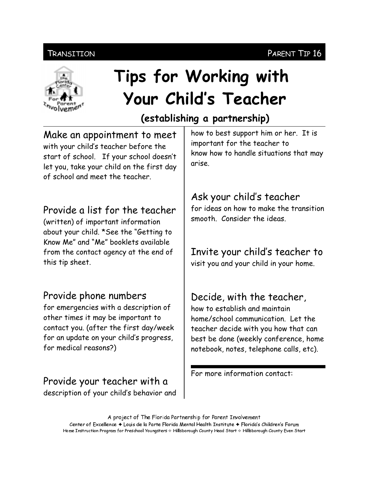#### PARENT TIP 16

#### Transition



# Tips for Working with Your Child's Teacher

# (establishing a partnership)

Make an appointment to meet with your child's teacher before the start of school. If your school doesn't let you, take your child on the first day of school and meet the teacher

### Provide a list for the teacher

(written) of important information about your child. \*See the "Getting to Know Me" and "Me" booklets available from the contact agency at the end of this tip sheet.

### Provide phone numbers

for emergencies with a description of other times it may be important to contact you. (after the first day/week for an update on your child's progress, for medical reasons?)

Provide your teacher with a description of your child's behavior and

how to best support him or her. It is important for the teacher to know how to handle situations that may arise.

## Ask your child's teacher

for ideas on how to make the transition smooth Consider the ideas

# Invite your child's teacher to

visit you and your child in your home.

# Decide, with the teacher,

how to establish and maintain home/school communication. Let the teacher decide with you how that can best be done (weekly conference, home notebook, notes, telephone calls, etc).

For more information contact:

A project of The Florida Partnership for Parent Involvement Center of Excellence ♦ Louis de la Parte Florida Mental Health Institute ♦ Florida's Children's Forum Home Instruction Program for Preschool Youngsters & Hillsborough County Head Start & Hillsborough County Even Start